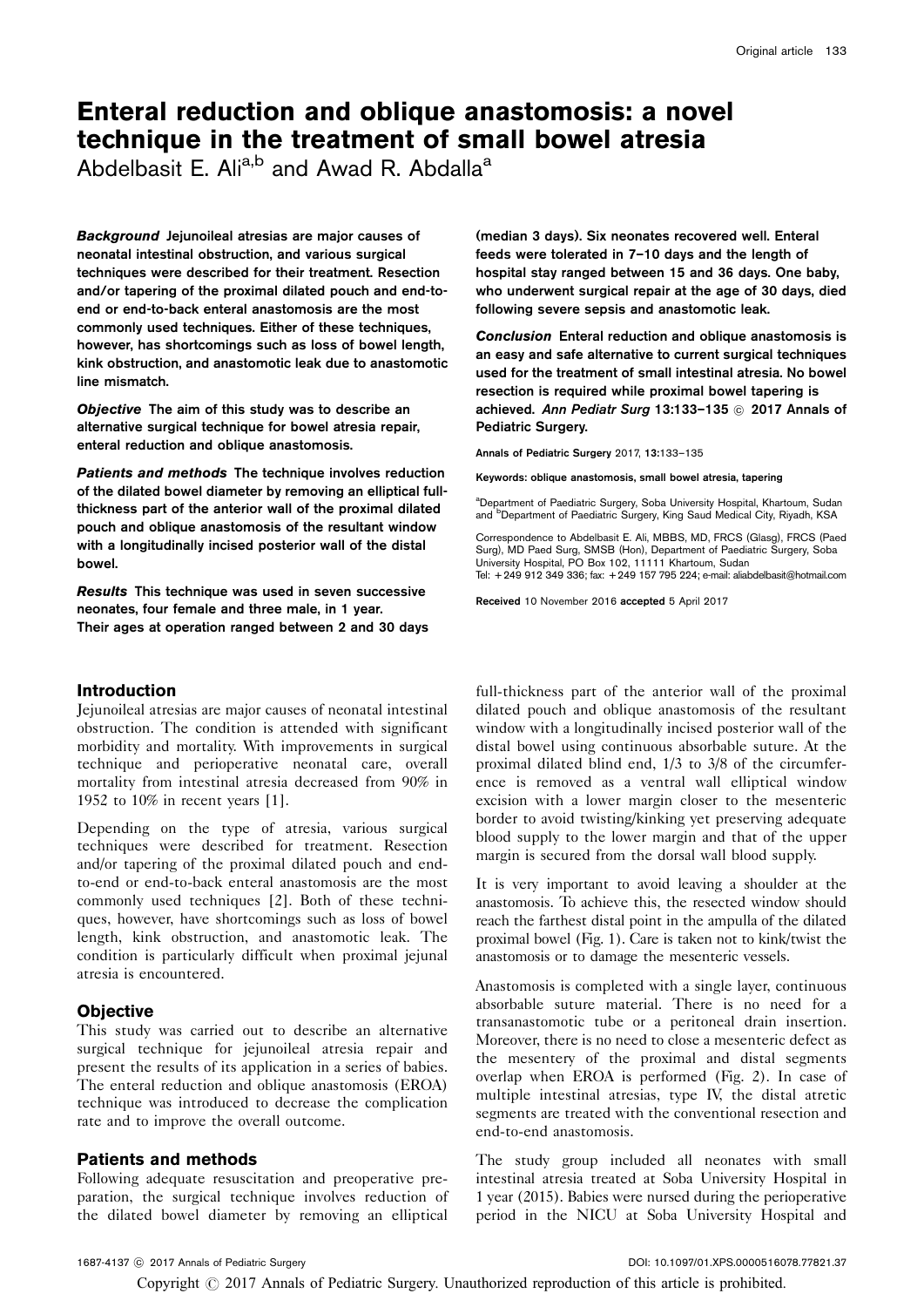# Enteral reduction and oblique anastomosis: a novel technique in the treatment of small bowel atresia

Abdelbasit E.  $Ali^{a,b}$  and Awad R. Abdalla<sup>a</sup>

Background Jejunoileal atresias are major causes of neonatal intestinal obstruction, and various surgical techniques were described for their treatment. Resection and/or tapering of the proximal dilated pouch and end-toend or end-to-back enteral anastomosis are the most commonly used techniques. Either of these techniques, however, has shortcomings such as loss of bowel length, kink obstruction, and anastomotic leak due to anastomotic line mismatch.

Objective The aim of this study was to describe an alternative surgical technique for bowel atresia repair, enteral reduction and oblique anastomosis.

Patients and methods The technique involves reduction of the dilated bowel diameter by removing an elliptical fullthickness part of the anterior wall of the proximal dilated pouch and oblique anastomosis of the resultant window with a longitudinally incised posterior wall of the distal bowel.

Results This technique was used in seven successive neonates, four female and three male, in 1 year. Their ages at operation ranged between 2 and 30 days

# Introduction

Jejunoileal atresias are major causes of neonatal intestinal obstruction. The condition is attended with significant morbidity and mortality. With improvements in surgical technique and perioperative neonatal care, overall mortality from intestinal atresia decreased from 90% in 1952 to 10% in recent years [\[1\]](#page-2-0).

Depending on the type of atresia, various surgical techniques were described for treatment. Resection and/or tapering of the proximal dilated pouch and endto-end or end-to-back enteral anastomosis are the most commonly used techniques [\[2\]](#page-2-0). Both of these techniques, however, have shortcomings such as loss of bowel length, kink obstruction, and anastomotic leak. The condition is particularly difficult when proximal jejunal atresia is encountered.

# **Objective**

This study was carried out to describe an alternative surgical technique for jejunoileal atresia repair and present the results of its application in a series of babies. The enteral reduction and oblique anastomosis (EROA) technique was introduced to decrease the complication rate and to improve the overall outcome.

# Patients and methods

Following adequate resuscitation and preoperative preparation, the surgical technique involves reduction of the dilated bowel diameter by removing an elliptical (median 3 days). Six neonates recovered well. Enteral feeds were tolerated in 7–10 days and the length of hospital stay ranged between 15 and 36 days. One baby, who underwent surgical repair at the age of 30 days, died following severe sepsis and anastomotic leak.

Conclusion Enteral reduction and oblique anastomosis is an easy and safe alternative to current surgical techniques used for the treatment of small intestinal atresia. No bowel resection is required while proximal bowel tapering is achieved. Ann Pediatr Surg 13:133-135 @ 2017 Annals of Pediatric Surgery.

Annals of Pediatric Surgery 2017, 13:133–135

Keywords: oblique anastomosis, small bowel atresia, tapering

<sup>a</sup>Department of Paediatric Surgery, Soba University Hospital, Khartoum, Sudan and <sup>b</sup>Department of Paediatric Surgery, King Saud Medical City, Riyadh, KSA

Correspondence to Abdelbasit E. Ali, MBBS, MD, FRCS (Glasg), FRCS (Paed Surg), MD Paed Surg, SMSB (Hon), Department of Paediatric Surgery, Soba University Hospital, PO Box 102, 11111 Khartoum, Sudan Tel: + 249 912 349 336; fax: + 249 157 795 224; e-mail: [aliabdelbasit@hotmail.com](mailto:aliabdelbasit@hotmail.com)

Received 10 November 2016 accepted 5 April 2017

full-thickness part of the anterior wall of the proximal dilated pouch and oblique anastomosis of the resultant window with a longitudinally incised posterior wall of the distal bowel using continuous absorbable suture. At the proximal dilated blind end, 1/3 to 3/8 of the circumference is removed as a ventral wall elliptical window excision with a lower margin closer to the mesenteric border to avoid twisting/kinking yet preserving adequate blood supply to the lower margin and that of the upper margin is secured from the dorsal wall blood supply.

It is very important to avoid leaving a shoulder at the anastomosis. To achieve this, the resected window should reach the farthest distal point in the ampulla of the dilated proximal bowel ([Fig. 1\)](#page-1-0). Care is taken not to kink/twist the anastomosis or to damage the mesenteric vessels.

Anastomosis is completed with a single layer, continuous absorbable suture material. There is no need for a transanastomotic tube or a peritoneal drain insertion. Moreover, there is no need to close a mesenteric defect as the mesentery of the proximal and distal segments overlap when EROA is performed ([Fig. 2\)](#page-1-0). In case of multiple intestinal atresias, type IV, the distal atretic segments are treated with the conventional resection and end-to-end anastomosis.

The study group included all neonates with small intestinal atresia treated at Soba University Hospital in 1 year (2015). Babies were nursed during the perioperative period in the NICU at Soba University Hospital and

Copyright  $\odot$  2017 Annals of Pediatric Surgery. Unauthorized reproduction of this article is prohibited.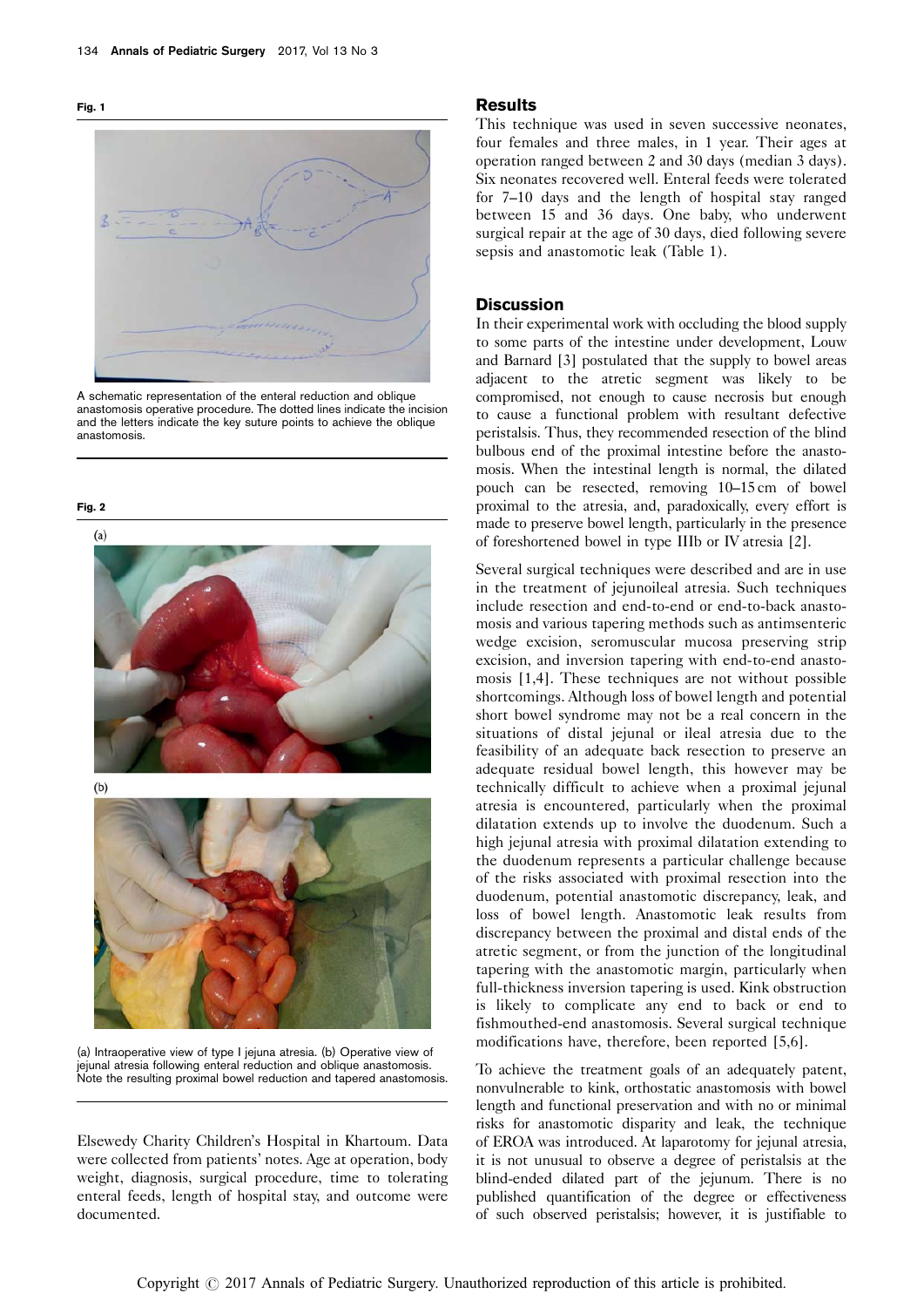<span id="page-1-0"></span>



A schematic representation of the enteral reduction and oblique anastomosis operative procedure. The dotted lines indicate the incision and the letters indicate the key suture points to achieve the oblique anastomosis.

Fig. 2



 $(b)$ 



(a) Intraoperative view of type I jejuna atresia. (b) Operative view of jejunal atresia following enteral reduction and oblique anastomosis. Note the resulting proximal bowel reduction and tapered anastomosis.

Elsewedy Charity Children's Hospital in Khartoum. Data were collected from patients' notes. Age at operation, body weight, diagnosis, surgical procedure, time to tolerating enteral feeds, length of hospital stay, and outcome were documented.

#### Results

This technique was used in seven successive neonates, four females and three males, in 1 year. Their ages at operation ranged between 2 and 30 days (median 3 days). Six neonates recovered well. Enteral feeds were tolerated for 7–10 days and the length of hospital stay ranged between 15 and 36 days. One baby, who underwent surgical repair at the age of 30 days, died following severe sepsis and anastomotic leak ([Table 1](#page-2-0)).

## **Discussion**

In their experimental work with occluding the blood supply to some parts of the intestine under development, Louw and Barnard [\[3\]](#page-2-0) postulated that the supply to bowel areas adjacent to the atretic segment was likely to be compromised, not enough to cause necrosis but enough to cause a functional problem with resultant defective peristalsis. Thus, they recommended resection of the blind bulbous end of the proximal intestine before the anastomosis. When the intestinal length is normal, the dilated pouch can be resected, removing 10–15 cm of bowel proximal to the atresia, and, paradoxically, every effort is made to preserve bowel length, particularly in the presence of foreshortened bowel in type IIIb or IV atresia [\[2\]](#page-2-0).

Several surgical techniques were described and are in use in the treatment of jejunoileal atresia. Such techniques include resection and end-to-end or end-to-back anastomosis and various tapering methods such as antimsenteric wedge excision, seromuscular mucosa preserving strip excision, and inversion tapering with end-to-end anastomosis [\[1,4](#page-2-0)]. These techniques are not without possible shortcomings. Although loss of bowel length and potential short bowel syndrome may not be a real concern in the situations of distal jejunal or ileal atresia due to the feasibility of an adequate back resection to preserve an adequate residual bowel length, this however may be technically difficult to achieve when a proximal jejunal atresia is encountered, particularly when the proximal dilatation extends up to involve the duodenum. Such a high jejunal atresia with proximal dilatation extending to the duodenum represents a particular challenge because of the risks associated with proximal resection into the duodenum, potential anastomotic discrepancy, leak, and loss of bowel length. Anastomotic leak results from discrepancy between the proximal and distal ends of the atretic segment, or from the junction of the longitudinal tapering with the anastomotic margin, particularly when full-thickness inversion tapering is used. Kink obstruction is likely to complicate any end to back or end to fishmouthed-end anastomosis. Several surgical technique modifications have, therefore, been reported [\[5,6](#page-2-0)].

To achieve the treatment goals of an adequately patent, nonvulnerable to kink, orthostatic anastomosis with bowel length and functional preservation and with no or minimal risks for anastomotic disparity and leak, the technique of EROA was introduced. At laparotomy for jejunal atresia, it is not unusual to observe a degree of peristalsis at the blind-ended dilated part of the jejunum. There is no published quantification of the degree or effectiveness of such observed peristalsis; however, it is justifiable to